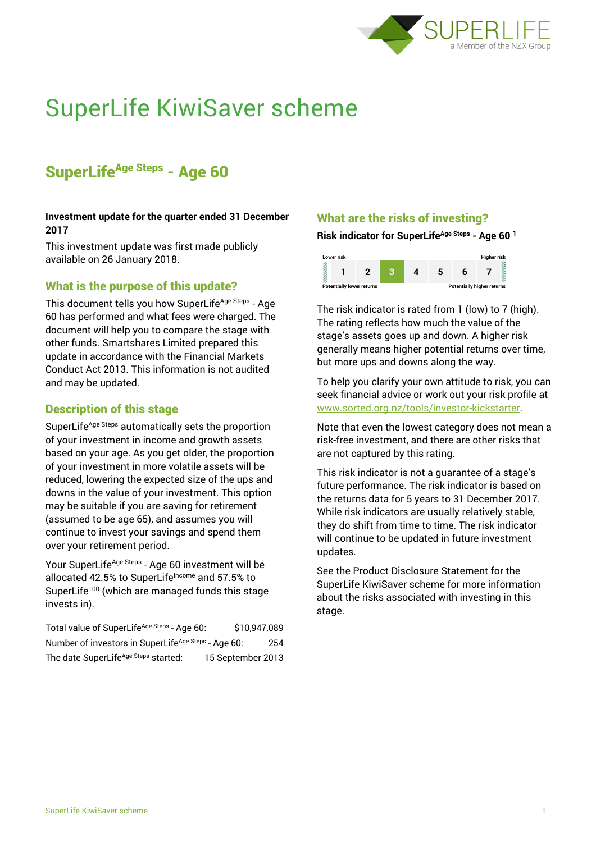

# SuperLife KiwiSaver scheme

# SuperLife<sup>Age Steps</sup> - Age 60

### **Investment update for the quarter ended 31 December 2017**

This investment update was first made publicly available on 26 January 2018.

# What is the purpose of this update?

This document tells you how SuperLife<sup>Age Steps</sup> - Age 60 has performed and what fees were charged. The document will help you to compare the stage with other funds. Smartshares Limited prepared this update in accordance with the Financial Markets Conduct Act 2013. This information is not audited and may be updated.

# Description of this stage

SuperLife<sup>Age Steps</sup> automatically sets the proportion of your investment in income and growth assets based on your age. As you get older, the proportion of your investment in more volatile assets will be reduced, lowering the expected size of the ups and downs in the value of your investment. This option may be suitable if you are saving for retirement (assumed to be age 65), and assumes you will continue to invest your savings and spend them over your retirement period.

Your SuperLife<sup>Age Steps</sup> - Age 60 investment will be allocated 42.5% to SuperLife<sup>Income</sup> and 57.5% to SuperLife<sup>100</sup> (which are managed funds this stage invests in).

Total value of SuperLife<sup>Age Steps</sup> - Age 60: \$10,947,089 Number of investors in SuperLife<sup>Age Steps</sup> - Age 60: 254 The date SuperLife<sup>Age Steps</sup> started: 15 September 2013

# What are the risks of investing?

#### **Risk indicator for SuperLifeAge Steps - Age 60 <sup>1</sup>**



The risk indicator is rated from 1 (low) to 7 (high). The rating reflects how much the value of the stage's assets goes up and down. A higher risk generally means higher potential returns over time, but more ups and downs along the way.

To help you clarify your own attitude to risk, you can seek financial advice or work out your risk profile at [www.sorted.org.nz/tools/investor-kickstarter.](http://www.sorted.org.nz/tools/investor-kickstarter)

Note that even the lowest category does not mean a risk-free investment, and there are other risks that are not captured by this rating.

This risk indicator is not a guarantee of a stage's future performance. The risk indicator is based on the returns data for 5 years to 31 December 2017. While risk indicators are usually relatively stable, they do shift from time to time. The risk indicator will continue to be updated in future investment updates.

See the Product Disclosure Statement for the SuperLife KiwiSaver scheme for more information about the risks associated with investing in this stage.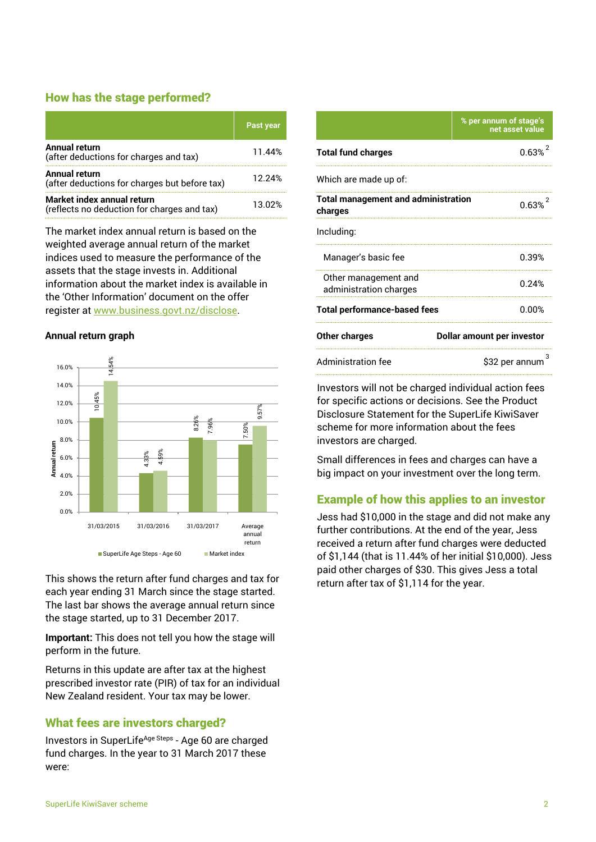# How has the stage performed?

|                                                                           | Past year |
|---------------------------------------------------------------------------|-----------|
| <b>Annual return</b><br>(after deductions for charges and tax)            | 11.44%    |
| Annual return<br>(after deductions for charges but before tax)            | 12.24%    |
| Market index annual return<br>(reflects no deduction for charges and tax) | 13.02%    |

The market index annual return is based on the weighted average annual return of the market indices used to measure the performance of the assets that the stage invests in. Additional information about the market index is available in the 'Other Information' document on the offer register at www.business.govt.nz/disclose.

#### **Annual return graph**



This shows the return after fund charges and tax for each year ending 31 March since the stage started. The last bar shows the average annual return since the stage started, up to 31 December 2017.

**Important:** This does not tell you how the stage will perform in the future.

Returns in this update are after tax at the highest prescribed investor rate (PIR) of tax for an individual New Zealand resident. Your tax may be lower.

# What fees are investors charged?

Investors in SuperLife<sup>Age Steps</sup> - Age 60 are charged fund charges. In the year to 31 March 2017 these were:

|                                                       | % per annum of stage's<br>net asset value |  |
|-------------------------------------------------------|-------------------------------------------|--|
| <b>Total fund charges</b>                             | 0.63%                                     |  |
| Which are made up of:                                 |                                           |  |
| <b>Total management and administration</b><br>charges | 0.63%                                     |  |
| Including:                                            |                                           |  |
| Manager's basic fee                                   | 0.39%                                     |  |
| Other management and<br>administration charges        | በ 24%                                     |  |
| <b>Total performance-based fees</b>                   | 0.00%                                     |  |
| <b>Other charges</b>                                  | <b>Dollar amount per investor</b>         |  |
| Administration fee                                    | \$32 per annum                            |  |

Investors will not be charged individual action fees for specific actions or decisions. See the Product Disclosure Statement for the SuperLife KiwiSaver scheme for more information about the fees investors are charged.

Small differences in fees and charges can have a big impact on your investment over the long term.

# Example of how this applies to an investor

Jess had \$10,000 in the stage and did not make any further contributions. At the end of the year, Jess received a return after fund charges were deducted of \$1,144 (that is 11.44% of her initial \$10,000). Jess paid other charges of \$30. This gives Jess a total return after tax of \$1,114 for the year.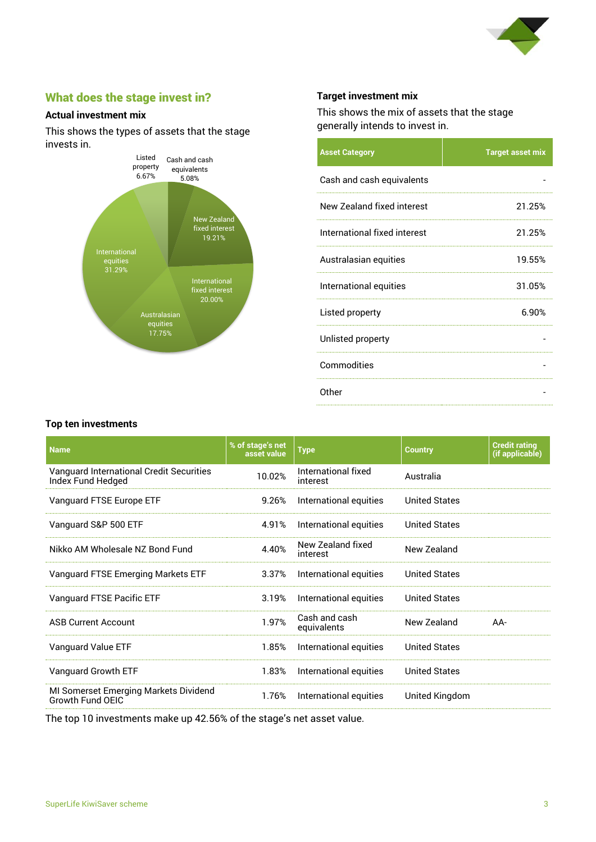

# What does the stage invest in?

### **Actual investment mix**

This shows the types of assets that the stage invests in.



#### **Target investment mix**

This shows the mix of assets that the stage generally intends to invest in.

| <b>Asset Category</b>        | <b>Target asset mix</b> |
|------------------------------|-------------------------|
| Cash and cash equivalents    |                         |
| New Zealand fixed interest   | 21.25%                  |
| International fixed interest | 21.25%                  |
| Australasian equities        | 19.55%                  |
| International equities       | 31.05%                  |
| Listed property              | 6.90%                   |
| Unlisted property            |                         |
| Commodities                  |                         |
| Other                        |                         |

#### **Top ten investments**

| <b>Name</b>                                                   | % of stage's net<br>asset value | <b>Type</b>                     | <b>Country</b>       | <b>Credit rating</b><br>(if applicable) |
|---------------------------------------------------------------|---------------------------------|---------------------------------|----------------------|-----------------------------------------|
| Vanguard International Credit Securities<br>Index Fund Hedged | 10.02%                          | International fixed<br>interest | Australia            |                                         |
| Vanguard FTSE Europe ETF                                      | 9.26%                           | International equities          | <b>United States</b> |                                         |
| Vanguard S&P 500 ETF                                          | 4.91%                           | International equities          | <b>United States</b> |                                         |
| Nikko AM Wholesale NZ Bond Fund                               | 4.40%                           | New Zealand fixed<br>interest   | New Zealand          |                                         |
| Vanguard FTSE Emerging Markets ETF                            | 3.37%                           | International equities          | <b>United States</b> |                                         |
| Vanguard FTSE Pacific ETF                                     | 3.19%                           | International equities          | <b>United States</b> |                                         |
| <b>ASB Current Account</b>                                    | 1.97%                           | Cash and cash<br>equivalents    | New Zealand          | AA-                                     |
| Vanguard Value ETF                                            | 1.85%                           | International equities          | <b>United States</b> |                                         |
| Vanguard Growth ETF                                           | 1.83%                           | International equities          | <b>United States</b> |                                         |
| MI Somerset Emerging Markets Dividend<br>Growth Fund OEIC     | 1.76%                           | International equities          | United Kingdom       |                                         |

The top 10 investments make up 42.56% of the stage's net asset value.